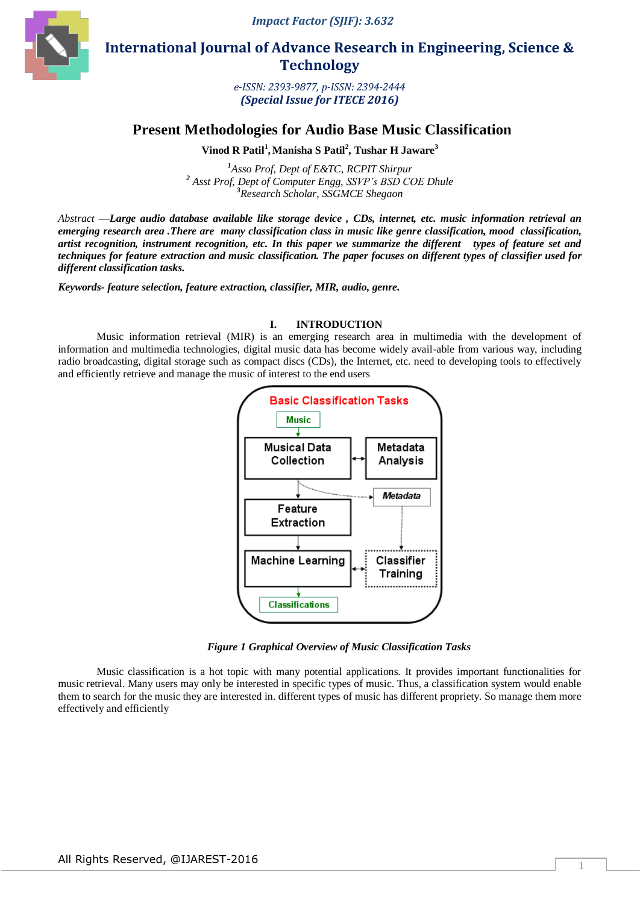*Impact Factor (SJIF): 3.632*



 **International Journal of Advance Research in Engineering, Science & Technology** 

> *e-ISSN: 2393-9877, p-ISSN: 2394-2444 (Special Issue for ITECE 2016)*

# **Present Methodologies for Audio Base Music Classification**

**Vinod R Patil<sup>1</sup> ,Manisha S Patil<sup>2</sup> , Tushar H Jaware<sup>3</sup>**

*<sup>1</sup>Asso Prof, Dept of E&TC, RCPIT Shirpur <sup>2</sup> Asst Prof, Dept of Computer Engg, SSVP's BSD COE Dhule <sup>3</sup>Research Scholar, SSGMCE Shegaon*

*Abstract* **—***Large audio database available like storage device , CDs, internet, etc. music information retrieval an emerging research area .There are many classification class in music like genre classification, mood classification, artist recognition, instrument recognition, etc. In this paper we summarize the different types of feature set and techniques for feature extraction and music classification. The paper focuses on different types of classifier used for different classification tasks.*

*Keywords- feature selection, feature extraction, classifier, MIR, audio, genre.*

#### **I. INTRODUCTION**

Music information retrieval (MIR) is an emerging research area in multimedia with the development of information and multimedia technologies, digital music data has become widely avail-able from various way, including radio broadcasting, digital storage such as compact discs (CDs), the Internet, etc. need to developing tools to effectively and efficiently retrieve and manage the music of interest to the end users



*Figure 1 Graphical Overview of Music Classification Tasks*

Music classification is a hot topic with many potential applications. It provides important functionalities for music retrieval. Many users may only be interested in specific types of music. Thus, a classification system would enable them to search for the music they are interested in. different types of music has different propriety. So manage them more effectively and efficiently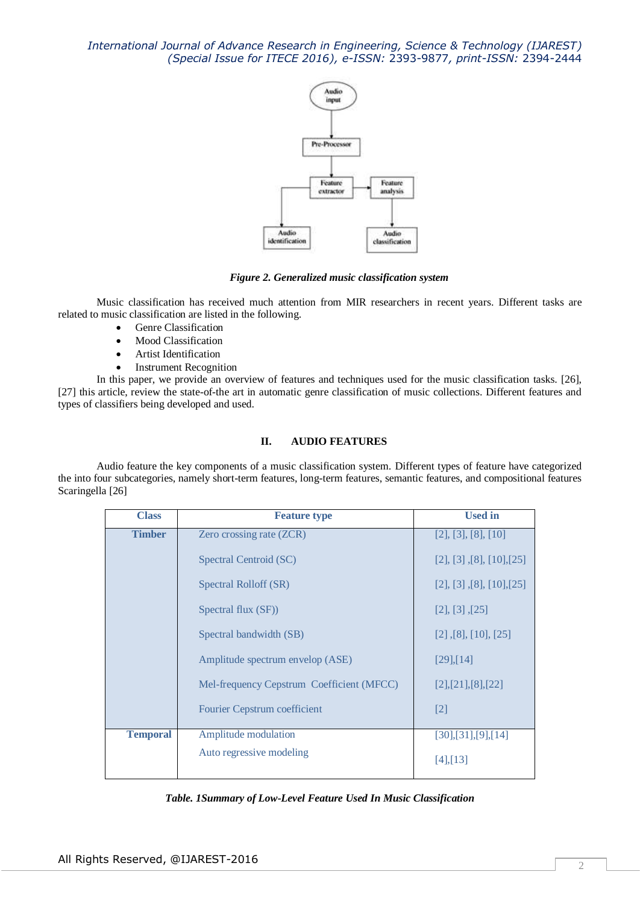

*Figure 2. Generalized music classification system*

Music classification has received much attention from MIR researchers in recent years. Different tasks are related to music classification are listed in the following.

- Genre Classification
- Mood Classification
- Artist Identification
- Instrument Recognition

In this paper, we provide an overview of features and techniques used for the music classification tasks. [26], [27] this article, review the state-of-the art in automatic genre classification of music collections. Different features and types of classifiers being developed and used.

## **II. AUDIO FEATURES**

Audio feature the key components of a music classification system. Different types of feature have categorized the into four subcategories, namely short-term features, long-term features, semantic features, and compositional features Scaringella [26]

| <b>Class</b>    | <b>Feature type</b>                       | <b>Used in</b>                  |
|-----------------|-------------------------------------------|---------------------------------|
| <b>Timber</b>   | Zero crossing rate (ZCR)                  | [2], [3], [8], [10]             |
|                 | Spectral Centroid (SC)                    | [2], [3], [8], [10], [25]       |
|                 | Spectral Rolloff (SR)                     | [2], [3], [8], [10], [25]       |
|                 | Spectral flux (SF))                       | [2], [3], [25]                  |
|                 | Spectral bandwidth (SB)                   | $[2]$ , $[8]$ , $[10]$ , $[25]$ |
|                 | Amplitude spectrum envelop (ASE)          | $[29]$ , [14]                   |
|                 | Mel-frequency Cepstrum Coefficient (MFCC) | [2],[21],[8],[22]               |
|                 | Fourier Cepstrum coefficient              | $\lceil 2 \rceil$               |
| <b>Temporal</b> | Amplitude modulation                      | [30],[31],[9],[14]              |
|                 | Auto regressive modeling                  | $[4]$ , $[13]$                  |

*Table. 1Summary of Low-Level Feature Used In Music Classification*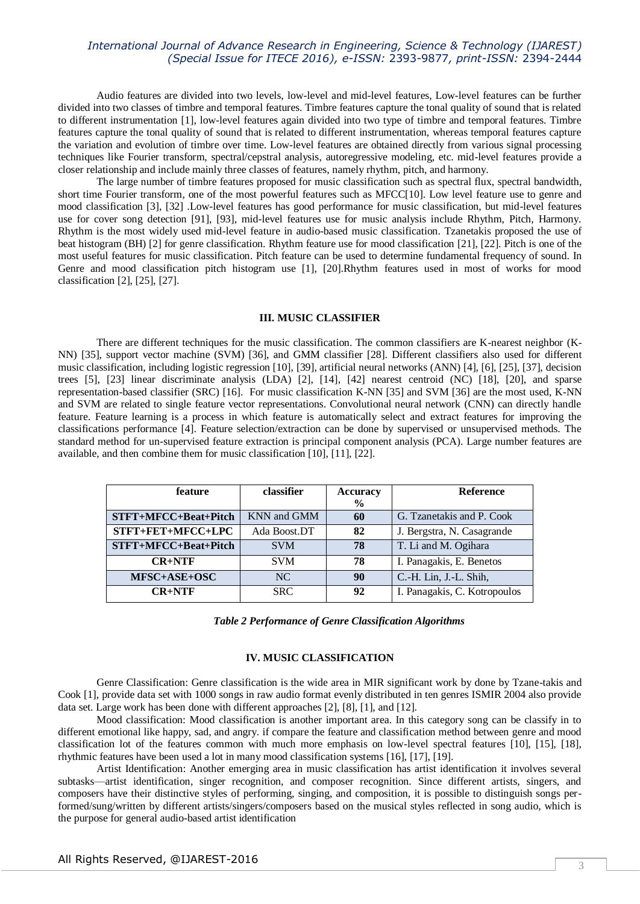Audio features are divided into two levels, low-level and mid-level features, Low-level features can be further divided into two classes of timbre and temporal features. Timbre features capture the tonal quality of sound that is related to different instrumentation [1], low-level features again divided into two type of timbre and temporal features. Timbre features capture the tonal quality of sound that is related to different instrumentation, whereas temporal features capture the variation and evolution of timbre over time. Low-level features are obtained directly from various signal processing techniques like Fourier transform, spectral/cepstral analysis, autoregressive modeling, etc. mid-level features provide a closer relationship and include mainly three classes of features, namely rhythm, pitch, and harmony.

The large number of timbre features proposed for music classification such as spectral flux, spectral bandwidth, short time Fourier transform, one of the most powerful features such as MFCC[10]. Low level feature use to genre and mood classification [3], [32] .Low-level features has good performance for music classification, but mid-level features use for cover song detection [91], [93], mid-level features use for music analysis include Rhythm, Pitch, Harmony. Rhythm is the most widely used mid-level feature in audio-based music classification. Tzanetakis proposed the use of beat histogram (BH) [2] for genre classification. Rhythm feature use for mood classification [21], [22]. Pitch is one of the most useful features for music classification. Pitch feature can be used to determine fundamental frequency of sound. In Genre and mood classification pitch histogram use [1], [20].Rhythm features used in most of works for mood classification [2], [25], [27].

#### **III. MUSIC CLASSIFIER**

There are different techniques for the music classification. The common classifiers are K-nearest neighbor (K-NN) [35], support vector machine (SVM) [36], and GMM classifier [28]. Different classifiers also used for different music classification, including logistic regression [10], [39], artificial neural networks (ANN) [4], [6], [25], [37], decision trees [5], [23] linear discriminate analysis (LDA) [2], [14], [42] nearest centroid (NC) [18], [20], and sparse representation-based classifier (SRC) [16]. For music classification K-NN [35] and SVM [36] are the most used, K-NN and SVM are related to single feature vector representations. Convolutional neural network (CNN) can directly handle feature. Feature learning is a process in which feature is automatically select and extract features for improving the classifications performance [4]. Feature selection/extraction can be done by supervised or unsupervised methods. The standard method for un-supervised feature extraction is principal component analysis (PCA). Large number features are available, and then combine them for music classification [10], [11], [22].

| feature              | classifier   | <b>Accuracy</b> | <b>Reference</b>             |  |
|----------------------|--------------|-----------------|------------------------------|--|
|                      |              | $\frac{6}{9}$   |                              |  |
| STFT+MFCC+Beat+Pitch | KNN and GMM  | 60              | G. Tzanetakis and P. Cook    |  |
| STFT+FET+MFCC+LPC    | Ada Boost.DT | 82              | J. Bergstra, N. Casagrande   |  |
| STFT+MFCC+Beat+Pitch | <b>SVM</b>   | 78              | T. Li and M. Ogihara         |  |
| $CR+NTF$             | <b>SVM</b>   | 78              | I. Panagakis, E. Benetos     |  |
| MFSC+ASE+OSC         | NC.          | 90              | C.-H. Lin, J.-L. Shih,       |  |
| $CR+NTF$             | <b>SRC</b>   | 92              | I. Panagakis, C. Kotropoulos |  |

| Table 2 Performance of Genre Classification Algorithms |  |  |  |
|--------------------------------------------------------|--|--|--|
|                                                        |  |  |  |

#### **IV. MUSIC CLASSIFICATION**

Genre Classification: Genre classification is the wide area in MIR significant work by done by Tzane-takis and Cook [1], provide data set with 1000 songs in raw audio format evenly distributed in ten genres ISMIR 2004 also provide data set. Large work has been done with different approaches [2], [8], [1], and [12].

Mood classification: Mood classification is another important area. In this category song can be classify in to different emotional like happy, sad, and angry. if compare the feature and classification method between genre and mood classification lot of the features common with much more emphasis on low-level spectral features [10], [15], [18], rhythmic features have been used a lot in many mood classification systems [16], [17], [19].

Artist Identification: Another emerging area in music classification has artist identification it involves several subtasks—artist identification, singer recognition, and composer recognition. Since different artists, singers, and composers have their distinctive styles of performing, singing, and composition, it is possible to distinguish songs performed/sung/written by different artists/singers/composers based on the musical styles reflected in song audio, which is the purpose for general audio-based artist identification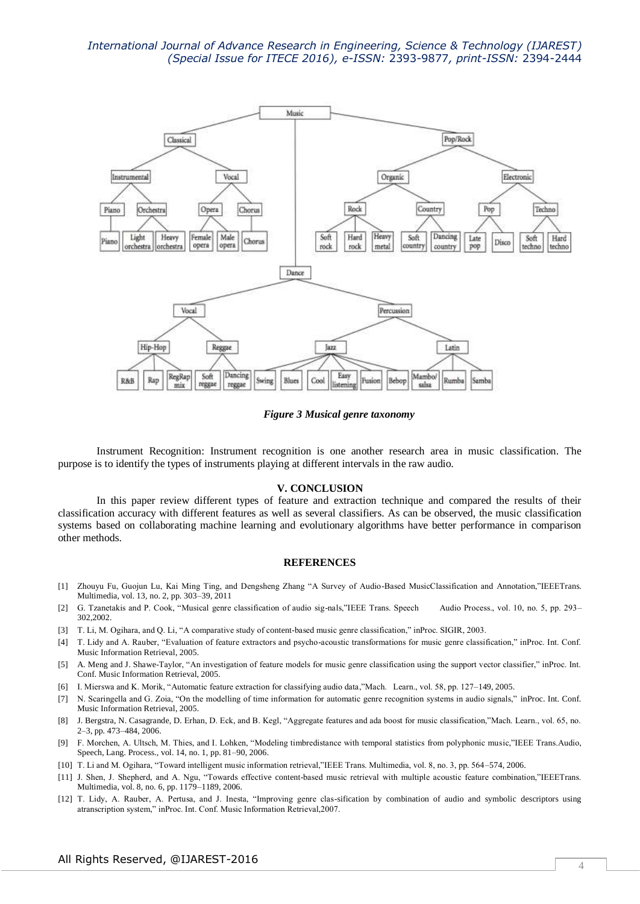

*Figure 3 Musical genre taxonomy*

Instrument Recognition: Instrument recognition is one another research area in music classification. The purpose is to identify the types of instruments playing at different intervals in the raw audio.

#### **V. CONCLUSION**

In this paper review different types of feature and extraction technique and compared the results of their classification accuracy with different features as well as several classifiers. As can be observed, the music classification systems based on collaborating machine learning and evolutionary algorithms have better performance in comparison other methods.

#### **REFERENCES**

- [1] Zhouyu Fu, Guojun Lu, Kai Ming Ting, and Dengsheng Zhang "A Survey of Audio-Based MusicClassification and Annotation,"IEEETrans. Multimedia, vol. 13, no. 2, pp. 303–39, 2011
- [2] G. Tzanetakis and P. Cook, "Musical genre classification of audio sig-nals,"IEEE Trans. Speech Audio Process., vol. 10, no. 5, pp. 293– 302,2002.
- [3] T. Li, M. Ogihara, and Q. Li, "A comparative study of content-based music genre classification," inProc. SIGIR, 2003.
- [4] T. Lidy and A. Rauber, "Evaluation of feature extractors and psycho-acoustic transformations for music genre classification," inProc. Int. Conf. Music Information Retrieval, 2005.
- [5] A. Meng and J. Shawe-Taylor, "An investigation of feature models for music genre classification using the support vector classifier," inProc. Int. Conf. Music Information Retrieval, 2005.
- [6] I. Mierswa and K. Morik, "Automatic feature extraction for classifying audio data,"Mach. Learn., vol. 58, pp. 127-149, 2005.
- [7] N. Scaringella and G. Zoia, "On the modelling of time information for automatic genre recognition systems in audio signals," inProc. Int. Conf. Music Information Retrieval, 2005.
- [8] J. Bergstra, N. Casagrande, D. Erhan, D. Eck, and B. Kegl, "Aggregate features and ada boost for music classification,"Mach. Learn., vol. 65, no. 2–3, pp. 473–484, 2006.
- [9] F. Morchen, A. Ultsch, M. Thies, and I. Lohken, "Modeling timbredistance with temporal statistics from polyphonic music,"IEEE Trans.Audio, Speech, Lang. Process., vol. 14, no. 1, pp. 81–90, 2006.
- [10] T. Li and M. Ogihara, "Toward intelligent music information retrieval,"IEEE Trans. Multimedia, vol. 8, no. 3, pp. 564–574, 2006.
- [11] J. Shen, J. Shepherd, and A. Ngu, "Towards effective content-based music retrieval with multiple acoustic feature combination,"IEEETrans. Multimedia, vol. 8, no. 6, pp. 1179–1189, 2006.
- [12] T. Lidy, A. Rauber, A. Pertusa, and J. Inesta, "Improving genre clas-sification by combination of audio and symbolic descriptors using atranscription system," inProc. Int. Conf. Music Information Retrieval,2007.